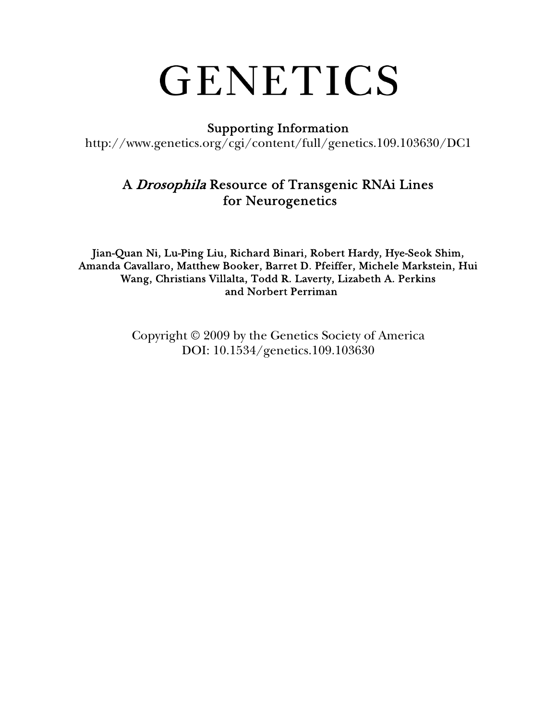# GENETICS

### Supporting Information

http://www.genetics.org/cgi/content/full/genetics.109.103630/DC1

## A Drosophila Resource of Transgenic RNAi Lines for Neurogenetics

Jian-Quan Ni, Lu-Ping Liu, Richard Binari, Robert Hardy, Hye-Seok Shim, Amanda Cavallaro, Matthew Booker, Barret D. Pfeiffer, Michele Markstein, Hui Wang, Christians Villalta, Todd R. Laverty, Lizabeth A. Perkins and Norbert Perriman

> Copyright © 2009 by the Genetics Society of America DOI: 10.1534/genetics.109.103630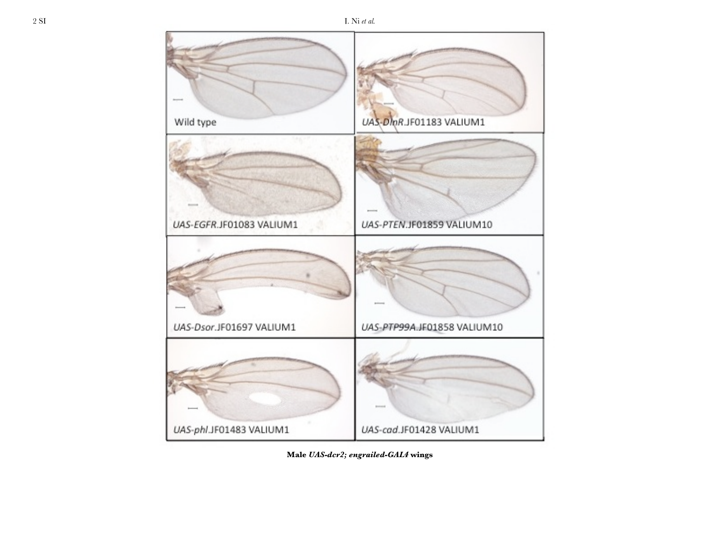Male UAS-dcr2; engrailed-GAL4 wings

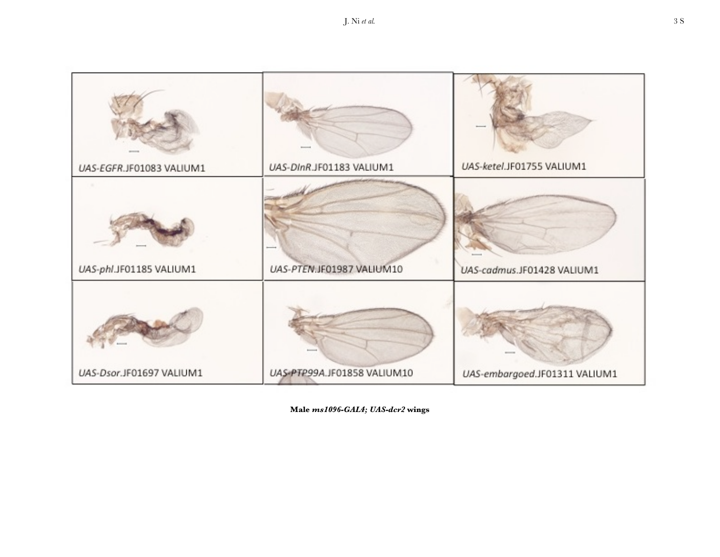|                          | UAS-DInR.JF01183 VALIUM1    | UAS-ketel.JF01755 VALIUM1     |
|--------------------------|-----------------------------|-------------------------------|
| UAS-EGFR.JF01083 VALIUM1 |                             |                               |
| UAS-phl.JF01185 VALIUM1  | UAS-PTEN.JF01987 VALIUM10   | UAS-cadmus.JF01428 VALIUM1    |
| UAS-Dsor.JF01697 VALIUM1 | UAS-PTP99A.JF01858 VALIUM10 | UAS-embargoed.JF01311 VALIUM1 |

Male ms1096-GAL4; UAS-dcr2 wings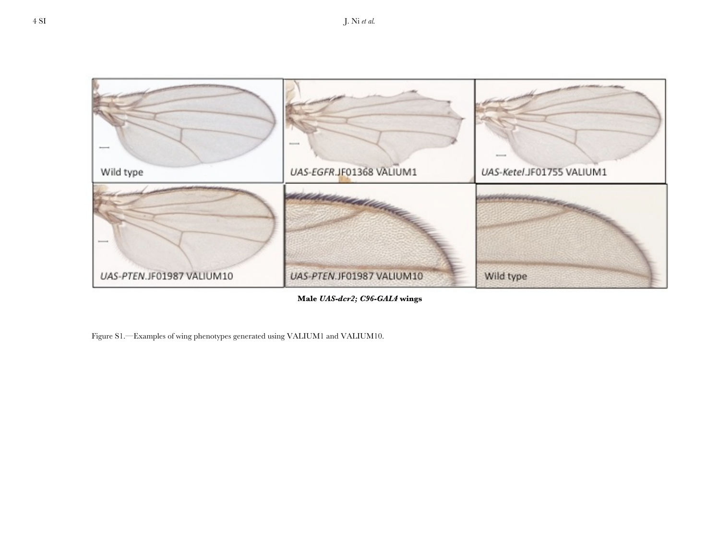

**Male** *UAS-dcr2; C96-GAL4* **wings**

Figure S1.—Examples of wing phenotypes generated using VALIUM1 and VALIUM10.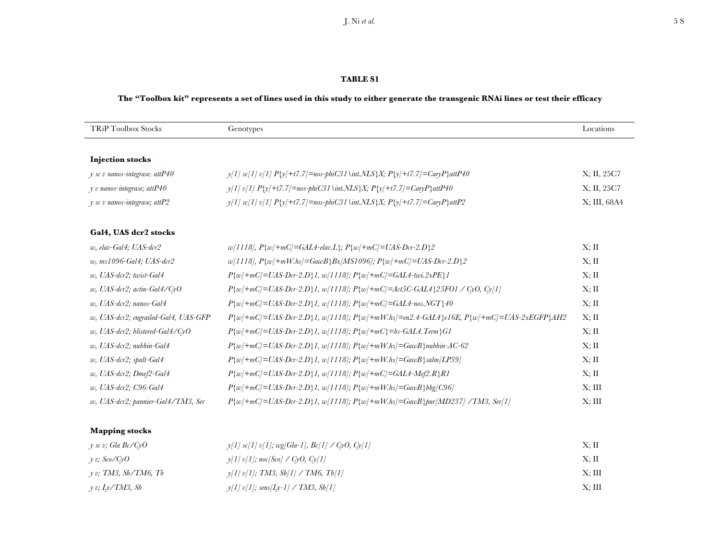#### **The "Toolbox kit" represents a set of lines used in this study to either generate the transgenic RNAi lines or test their efficacy**

| <b>TRiP Toolbox Stocks</b>            | Genotypes                                                                                                                      | Locations    |
|---------------------------------------|--------------------------------------------------------------------------------------------------------------------------------|--------------|
|                                       |                                                                                                                                |              |
| <b>Injection stocks</b>               |                                                                                                                                |              |
| $\gamma$ sc v nanos-integrase; attP40 | $\gamma$ [1] sc[1] v[1] $P\{\gamma+t7.7\}$ =nos-phiC31\int. $NLS\}X; P\{\gamma+t7.7\}$ =CaryP\attP40                           | X; II, 25C7  |
| y v nanos-integrase; attP40           | $y[1]$ v[1] P{y[+t7.7]=nos-phiC31\int.NLS}X; P{y[+t7.7]=CaryP}attP40                                                           | X; II, 25C7  |
| $y$ sc v nanos-integrase; attP2       | $y[1]$ sc[1] v[1] $P{y+ t7.7}$ ]=nos-phiC31\int.NLS}X; $P{y+ t7.7}$ ]=CaryP}attP2                                              | X; III, 68A4 |
| Gal4, UAS dcr2 stocks                 |                                                                                                                                |              |
| w, elav-Gal4; UAS-dcr2                | $w[1118], P\{w\}+mC]=GAL4$ -elav.L $\}; P\{w\}+mC=UAS-Dcr-2.D\}2$                                                              | X; H         |
| w, ms1096-Gal4; UAS-dcr2              | $w[1118], P\{w/\text{+}mW\} = GawB\}Bx[MS1096]; P\{w/\text{+}mC\} = UAS-Dcr-2.D\}2$                                            | X; H         |
| w, UAS-dcr2; twist-Gal4               | $P\{w/\pm mC\} = UAS\text{-}Dcr\text{-}2.D\}I, w/1118; P\{w/\pm mC\} = GAL4\text{-}two\text{-}2xPE\}I$                         | X; H         |
| w, UAS-dcr2; actin-Gal4/CyO           | $P\{w/\pm mC\} = UAS-Dcr-2.D\}$ , $w/1118$ ; $P\{w/\pm mC\} = Act5C-GAL4$ {25FO1 / CyO, Cy[1]                                  | X; H         |
| w, UAS-dcr2; nanos-Gal4               | $P\{w/\pm mC\} = UAS-Dcr-2.D\}$ , $w/1118$ ; $P\{w/\pm mC\} = GAL4-nos.\sqrt{GT}\}40$                                          | X; H         |
| w, UAS-dcr2; engrailed-Gal4, UAS-GFP  | $P\{w/\pm mC\} = UAS-Dcr-2.D\}$ 1, $w[1118]$ ; $P\{w/\pm mW.hs\} = en2.4-GAL4$ { $e16E$ , $P\{w/\pm mC\} = UAS-2xEGFP\}$ $AH2$ | Х; П         |
| w, UAS-dcr2; blistered-Gal4/CyO       | $P\{w/\pm mC\} = UAS-Dcr-2.D$ $\}$ 1, $w/1118$ ]; $P\{w/\pm mC\} = bs-GALA.$ Term $\}GI$                                       | X; H         |
| w, UAS-dcr2; nubbin-Gal4              | $P\{w/\pm mC\} = UAS-Dcr-2.D\}$ , $w/1118$ ; $P\{w/\pm mW.hs\} = GawB\}$ nubbin-AC-62                                          | X; H         |
| w, UAS-dcr2; spalt-Gal4               | $P\{w/\pm mC\} = UAS-Dcr-2.D\}$ , $w/1118$ ; $P\{w/\pm mW\}$ , $S$ = GawB \\text{salm} [LP39]                                  | Х; П         |
| w, UAS-dcr2; Dmef2-Gal4               | $P\{w/\pm mC\} = UAS-Dcr-2.D.\}$ 1, $w/1118$ ]; $P\{w/\pm mC\} = GAL4-Mef2.R.\}$ R1                                            | X; H         |
| w, UAS-dcr2; C96-Gal4                 | $P\{w/\pm mC\} = UAS-Dcr-2.D\}$ , $w/1118$ ; $P\{w/\pm mW\}$ .hs $=GawB\}$ bbg/C96]                                            | X; III       |
| w, UAS-dcr2; pannier-Gal4/TM3, Ser    | $P\{w/\pm mC\} = UAS-Dcr-2.D\}$ , $w/1118$ ; $P\{w/\pm mW\} = GawB\}$ pnr $[MD237]$ /TM3, Ser[1]                               | X; III       |
|                                       |                                                                                                                                |              |
| <b>Mapping stocks</b>                 |                                                                                                                                |              |

| y sc v; Gla Bc/CyO   | $y[1]$ sc[1] v[1]; wg[Gla-1], Bc[1] / CyO, Cy[1] | X: II       |
|----------------------|--------------------------------------------------|-------------|
| $\nu$ v; Sco/CyO     | $y[1]$ v[1]; noc[Sco] / CyO, Cy[1]               | Х: П        |
| y v; TM3, Sb/TM6, Tb | $\nu[1] \nu[1]$ ; TM3, Sb[1] / TM6, Tb[1]        | $X$ : $III$ |
| y v; Ly/TM3, Sb      | $\gamma$ [1] v[1]; sens[Ly-1] / TM3, Sb[1]       | $X$ : $III$ |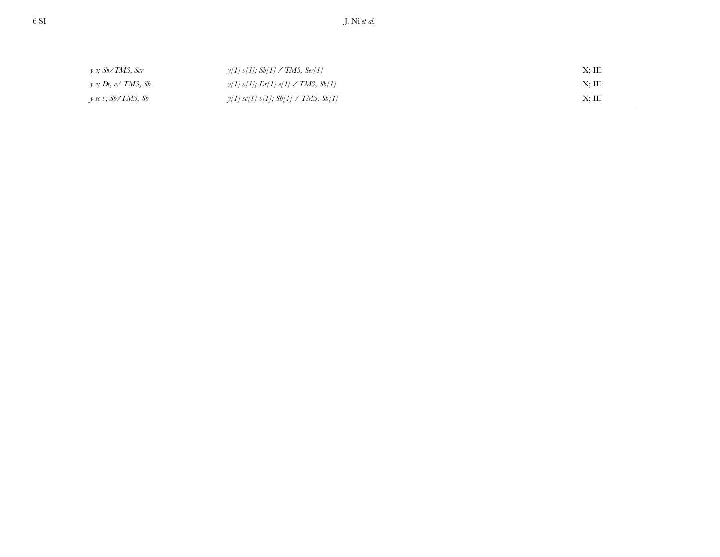| y v; Sb/TM3, Ser      | $y[1]$ v[1]; Sb[1] / TM3, Ser[1]      | $X$ ; III |
|-----------------------|---------------------------------------|-----------|
| $v$ v; Dr, e/ TM3, Sb | $y[1]$ v[1]; Dr[1] e[1] / TM3, Sb[1]  | X; III    |
| y sc v; Sb/TM3, Sb    | $y[1]$ sc[1] v[1]; Sb[1] / TM3, Sb[1] | Х; Ш      |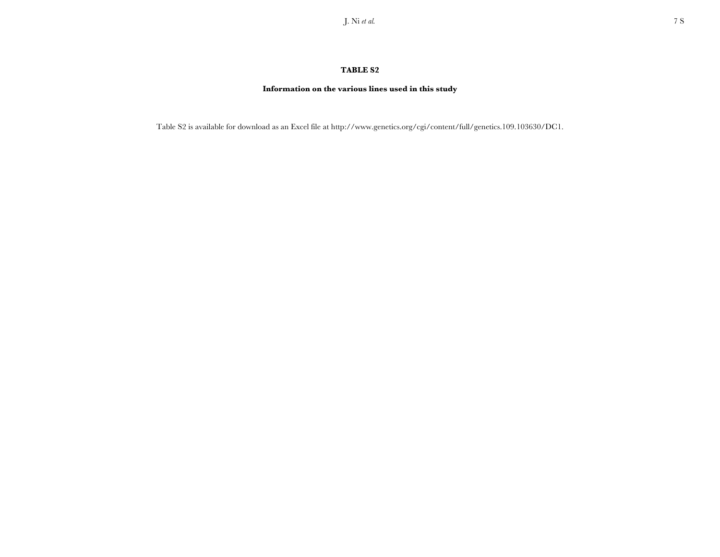#### **Information on the various lines used in this study**

Table S2 is available for download as an Excel file at http://www.genetics.org/cgi/content/full/genetics.109.103630/DC1.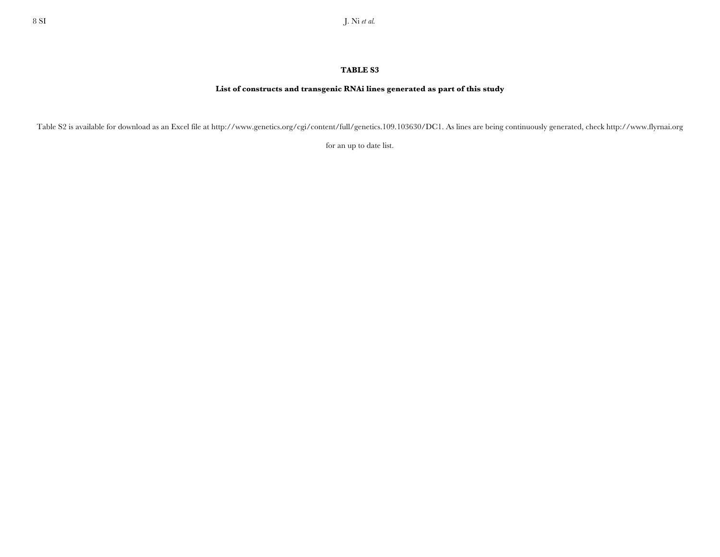#### **List of constructs and transgenic RNAi lines generated as part of this study**

Table S2 is available for download as an Excel file at http://www.genetics.org/cgi/content/full/genetics.109.103630/DC1. As lines are being continuously generated, check http://www.flyrnai.org

for an up to date list.